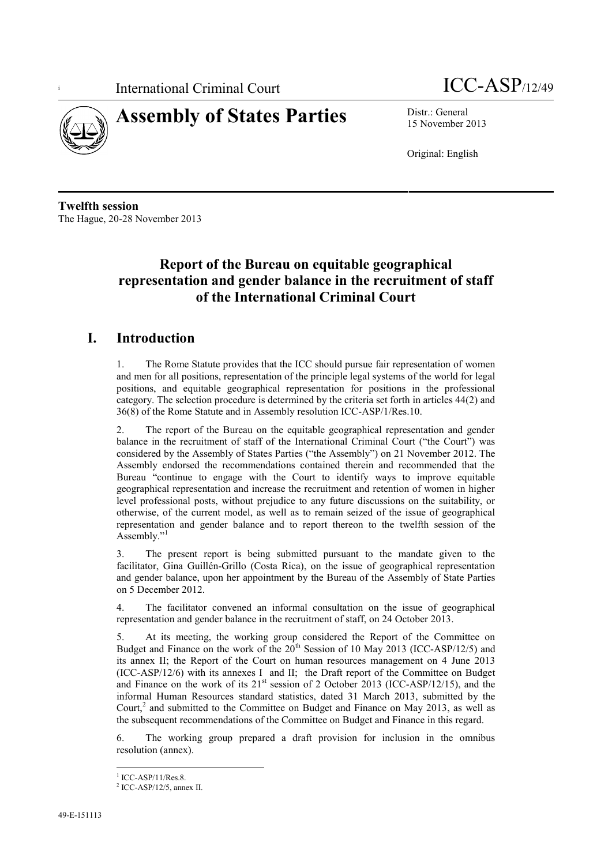



15 November 2013

Original: English

**Twelfth session** The Hague, 20-28 November 2013

# **Report of the Bureau on equitable geographical representation and gender balance in the recruitment of staff of the International Criminal Court**

## **I. Introduction**

1. The Rome Statute provides that the ICC should pursue fair representation of women and men for all positions, representation of the principle legal systems of the world for legal positions, and equitable geographical representation for positions in the professional category. The selection procedure is determined by the criteria set forth in articles 44(2) and 36(8) of the Rome Statute and in Assembly resolution ICC-ASP/1/Res.10.

2. The report of the Bureau on the equitable geographical representation and gender balance in the recruitment of staff of the International Criminal Court ("the Court") was considered by the Assembly of States Parties ("the Assembly") on 21 November 2012. The Assembly endorsed the recommendations contained therein and recommended that the Bureau "continue to engage with the Court to identify ways to improve equitable geographical representation and increase the recruitment and retention of women in higher level professional posts, without prejudice to any future discussions on the suitability, or otherwise, of the current model, as well as to remain seized of the issue of geographical representation and gender balance and to report thereon to the twelfth session of the Assembly."<sup>1</sup>

3. The present report is being submitted pursuant to the mandate given to the facilitator, Gina Guillén-Grillo (Costa Rica), on the issue of geographical representation and gender balance, upon her appointment by the Bureau of the Assembly of State Parties on 5 December 2012.

4. The facilitator convened an informal consultation on the issue of geographical representation and gender balance in the recruitment of staff, on 24 October 2013.

5. At its meeting, the working group considered the Report of the Committee on Budget and Finance on the work of the  $20<sup>th</sup>$  Session of 10 May 2013 (ICC-ASP/12/5) and its annex II; the Report of the Court on human resources management on 4 June 2013 (ICC-ASP/12/6) with its annexes I and II; the Draft report of the Committee on Budget and Finance on the work of its  $21<sup>st</sup>$  session of 2 October 2013 (ICC-ASP/12/15), and the informal Human Resources standard statistics, dated 31 March 2013, submitted by the Court, $^2$  and submitted to the Committee on Budget and Finance on May 2013, as well as the subsequent recommendations of the Committee on Budget and Finance in this regard.

6. The working group prepared a draft provision for inclusion in the omnibus resolution (annex).

 $\frac{1}{2}$  ICC-ASP/11/Res.8.<br> $\frac{2}{1}$  ICC-ASP/12/5, annex II.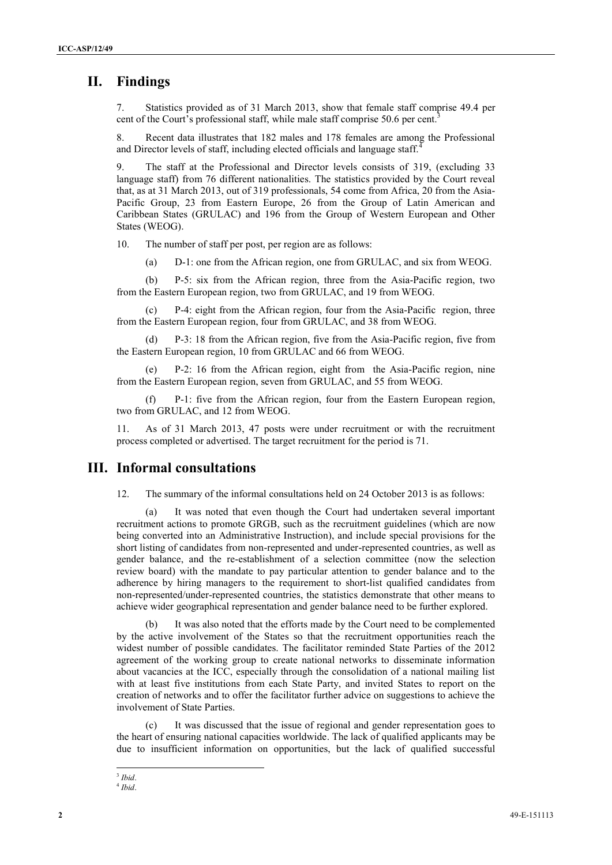### **II. Findings**

7. Statistics provided as of 31 March 2013, show that female staff comprise 49.4 per cent of the Court's professional staff, while male staff comprise 50.6 per cent.<sup>3</sup>

8. Recent data illustrates that 182 males and 178 females are among the Professional and Director levels of staff, including elected officials and language staff.

9. The staff at the Professional and Director levels consists of 319, (excluding 33 language staff) from 76 different nationalities. The statistics provided by the Court reveal that, as at 31 March 2013, out of 319 professionals, 54 come from Africa, 20 from the Asia- Pacific Group, 23 from Eastern Europe, 26 from the Group of Latin American and Caribbean States (GRULAC) and 196 from the Group of Western European and Other States (WEOG).

10. The number of staff per post, per region are as follows:

(a) D-1: one from the African region, one from GRULAC, and six from WEOG.

(b) P-5: six from the African region, three from the Asia-Pacific region, two from the Eastern European region, two from GRULAC, and 19 from WEOG.

(c) P-4: eight from the African region, four from the Asia-Pacific region, three from the Eastern European region, four from GRULAC, and 38 from WEOG.

P-3: 18 from the African region, five from the Asia-Pacific region, five from the Eastern European region, 10 from GRULAC and 66 from WEOG.

(e) P-2: 16 from the African region, eight from the Asia-Pacific region, nine from the Eastern European region, seven from GRULAC, and 55 from WEOG.

(f) P-1: five from the African region, four from the Eastern European region, two from GRULAC, and 12 from WEOG.

11. As of 31 March 2013, 47 posts were under recruitment or with the recruitment process completed or advertised. The target recruitment for the period is 71.

#### **III. Informal consultations**

12. The summary of the informal consultations held on 24 October 2013 is as follows:

(a) It was noted that even though the Court had undertaken several important recruitment actions to promote GRGB, such as the recruitment guidelines (which are now being converted into an Administrative Instruction), and include special provisions for the short listing of candidates from non-represented and under-represented countries, as well as gender balance, and the re-establishment of a selection committee (now the selection review board) with the mandate to pay particular attention to gender balance and to the adherence by hiring managers to the requirement to short-list qualified candidates from non-represented/under-represented countries, the statistics demonstrate that other means to achieve wider geographical representation and gender balance need to be further explored.

(b) It was also noted that the efforts made by the Court need to be complemented by the active involvement of the States so that the recruitment opportunities reach the widest number of possible candidates. The facilitator reminded State Parties of the 2012 agreement of the working group to create national networks to disseminate information about vacancies at the ICC, especially through the consolidation of a national mailing list with at least five institutions from each State Party, and invited States to report on the creation of networks and to offer the facilitator further advice on suggestions to achieve the involvement of State Parties.

(c) It was discussed that the issue of regional and gender representation goes to the heart of ensuring national capacities worldwide. The lack of qualified applicants may be due to insufficient information on opportunities, but the lack of qualified successful

<sup>3</sup> *Ibid*. <sup>4</sup> *Ibid*.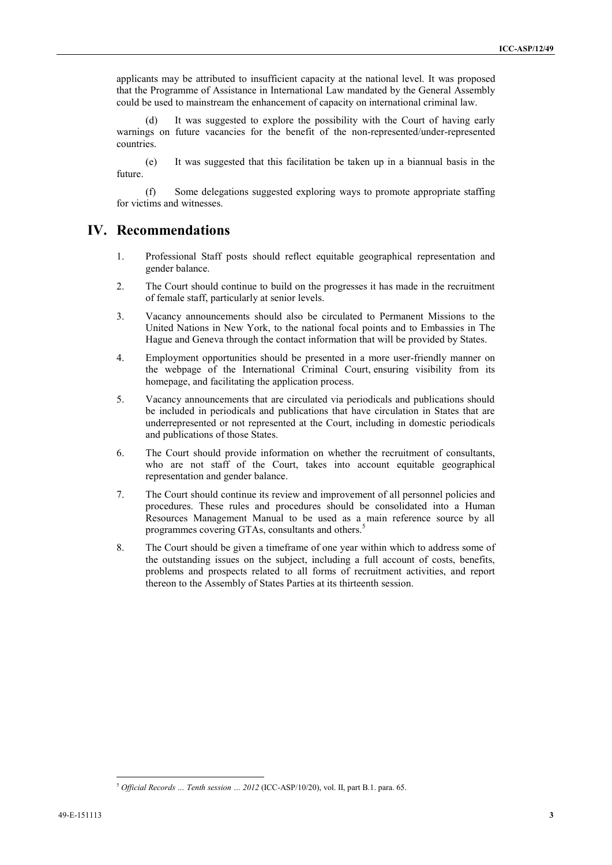applicants may be attributed to insufficient capacity at the national level. It was proposed that the Programme of Assistance in International Law mandated by the General Assembly could be used to mainstream the enhancement of capacity on international criminal law.

It was suggested to explore the possibility with the Court of having early warnings on future vacancies for the benefit of the non-represented/under-represented countries.

(e) It was suggested that this facilitation be taken up in a biannual basis in the future.

(f) Some delegations suggested exploring ways to promote appropriate staffing for victims and witnesses.

### **IV. Recommendations**

- 1. Professional Staff posts should reflect equitable geographical representation and gender balance.
- 2. The Court should continue to build on the progresses it has made in the recruitment of female staff, particularly at senior levels.
- 3. Vacancy announcements should also be circulated to Permanent Missions to the United Nations in New York, to the national focal points and to Embassies in The Hague and Geneva through the contact information that will be provided by States.
- 4. Employment opportunities should be presented in a more user-friendly manner on the webpage of the International Criminal Court, ensuring visibility from its homepage, and facilitating the application process.
- 5. Vacancy announcements that are circulated via periodicals and publications should be included in periodicals and publications that have circulation in States that are underrepresented or not represented at the Court, including in domestic periodicals and publications of those States.
- 6. The Court should provide information on whether the recruitment of consultants, who are not staff of the Court, takes into account equitable geographical representation and gender balance.
- 7. The Court should continue its review and improvement of all personnel policies and procedures. These rules and procedures should be consolidated into a Human Resources Management Manual to be used as a main reference source by all programmes covering GTAs, consultants and others.<sup>5</sup>
- 8. The Court should be given a timeframe of one year within which to address some of the outstanding issues on the subject, including a full account of costs, benefits, problems and prospects related to all forms of recruitment activities, and report thereon to the Assembly of States Parties at its thirteenth session.

<sup>5</sup> *Official Records … Tenth session … 2012* (ICC-ASP/10/20), vol. II, part B.1. para. 65.